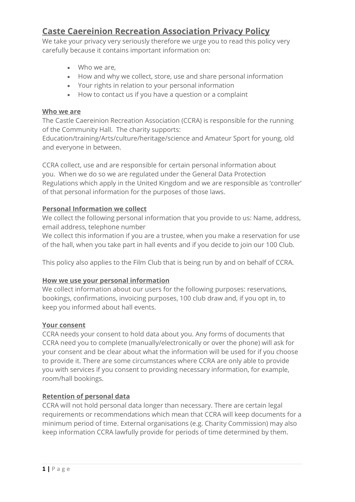# **Caste Caereinion Recreation Association Privacy Policy**

We take your privacy very seriously therefore we urge you to read this policy very carefully because it contains important information on:

- Who we are,
- How and why we collect, store, use and share personal information
- Your rights in relation to your personal information
- How to contact us if you have a question or a complaint

#### **Who we are**

The Castle Caereinion Recreation Association (CCRA) is responsible for the running of the Community Hall. The charity supports:

Education/training/Arts/culture/heritage/science and Amateur Sport for young, old and everyone in between.

CCRA collect, use and are responsible for certain personal information about you. When we do so we are regulated under the General Data Protection Regulations which apply in the United Kingdom and we are responsible as 'controller' of that personal information for the purposes of those laws.

## **Personal Information we collect**

We collect the following personal information that you provide to us: Name, address, email address, telephone number

We collect this information if you are a trustee, when you make a reservation for use of the hall, when you take part in hall events and if you decide to join our 100 Club.

This policy also applies to the Film Club that is being run by and on behalf of CCRA.

# **How we use your personal information**

We collect information about our users for the following purposes: reservations, bookings, confirmations, invoicing purposes, 100 club draw and, if you opt in, to keep you informed about hall events.

#### **Your consent**

CCRA needs your consent to hold data about you. Any forms of documents that CCRA need you to complete (manually/electronically or over the phone) will ask for your consent and be clear about what the information will be used for if you choose to provide it. There are some circumstances where CCRA are only able to provide you with services if you consent to providing necessary information, for example, room/hall bookings.

# **Retention of personal data**

CCRA will not hold personal data longer than necessary. There are certain legal requirements or recommendations which mean that CCRA will keep documents for a minimum period of time. External organisations (e.g. Charity Commission) may also keep information CCRA lawfully provide for periods of time determined by them.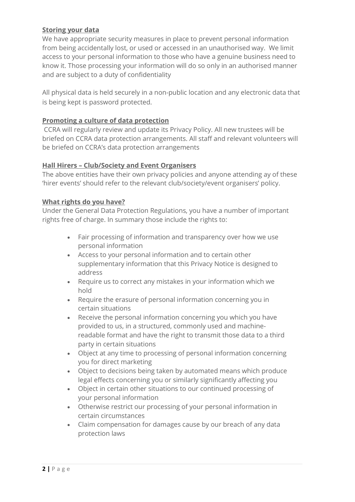# **Storing your data**

We have appropriate security measures in place to prevent personal information from being accidentally lost, or used or accessed in an unauthorised way. We limit access to your personal information to those who have a genuine business need to know it. Those processing your information will do so only in an authorised manner and are subject to a duty of confidentiality

All physical data is held securely in a non-public location and any electronic data that is being kept is password protected.

# **Promoting a culture of data protection**

CCRA will regularly review and update its Privacy Policy. All new trustees will be briefed on CCRA data protection arrangements. All staff and relevant volunteers will be briefed on CCRA's data protection arrangements

## **Hall Hirers – Club/Society and Event Organisers**

The above entities have their own privacy policies and anyone attending ay of these 'hirer events' should refer to the relevant club/society/event organisers' policy.

## **What rights do you have?**

Under the General Data Protection Regulations, you have a number of important rights free of charge. In summary those include the rights to:

- Fair processing of information and transparency over how we use personal information
- Access to your personal information and to certain other supplementary information that this Privacy Notice is designed to address
- Require us to correct any mistakes in your information which we hold
- Require the erasure of personal information concerning you in certain situations
- Receive the personal information concerning you which you have provided to us, in a structured, commonly used and machinereadable format and have the right to transmit those data to a third party in certain situations
- Object at any time to processing of personal information concerning you for direct marketing
- Object to decisions being taken by automated means which produce legal effects concerning you or similarly significantly affecting you
- Object in certain other situations to our continued processing of your personal information
- Otherwise restrict our processing of your personal information in certain circumstances
- Claim compensation for damages cause by our breach of any data protection laws